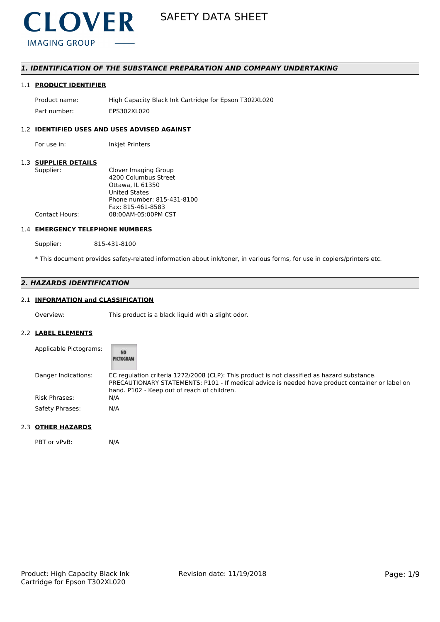

## *1. IDENTIFICATION OF THE SUBSTANCE PREPARATION AND COMPANY UNDERTAKING*

## 1.1 **PRODUCT IDENTIFIER**

Product name: High Capacity Black Ink Cartridge for Epson T302XL020 Part number: EPS302XL020

## 1.2 **IDENTIFIED USES AND USES ADVISED AGAINST**

For use in: Inkjet Printers

#### 1.3 **SUPPLIER DETAILS**

| Supplier:             | Clover Imaging Group       |
|-----------------------|----------------------------|
|                       | 4200 Columbus Street       |
|                       | Ottawa. IL 61350           |
|                       | <b>United States</b>       |
|                       | Phone number: 815-431-8100 |
|                       | Fax: 815-461-8583          |
| <b>Contact Hours:</b> | 08:00AM-05:00PM CST        |
|                       |                            |

#### 1.4 **EMERGENCY TELEPHONE NUMBERS**

Supplier: 815-431-8100

\* This document provides safety-related information about ink/toner, in various forms, for use in copiers/printers etc.

## *2. HAZARDS IDENTIFICATION*

## 2.1 **INFORMATION and CLASSIFICATION**

Overview: This product is a black liquid with a slight odor.

#### 2.2 **LABEL ELEMENTS**

| Applicable Pictograms: | <b>NO</b><br>PICTOGRAM                                                                                                                                                                                                                        |
|------------------------|-----------------------------------------------------------------------------------------------------------------------------------------------------------------------------------------------------------------------------------------------|
| Danger Indications:    | EC regulation criteria 1272/2008 (CLP): This product is not classified as hazard substance.<br>PRECAUTIONARY STATEMENTS: P101 - If medical advice is needed have product container or label on<br>hand. P102 - Keep out of reach of children. |
| <b>Risk Phrases:</b>   | N/A                                                                                                                                                                                                                                           |
| Safety Phrases:        | N/A                                                                                                                                                                                                                                           |

#### 2.3 **OTHER HAZARDS**

PBT or vPvB: N/A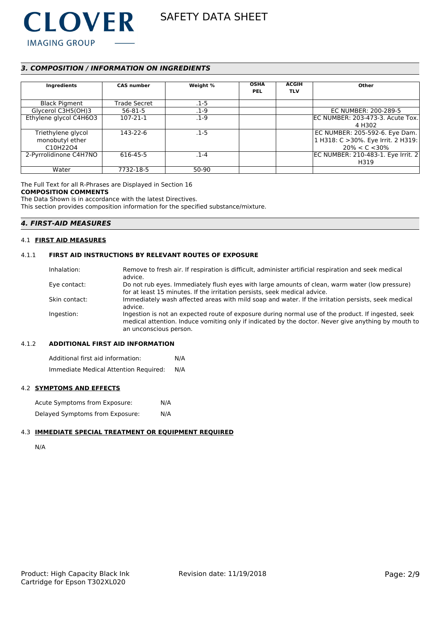

## *3. COMPOSITION / INFORMATION ON INGREDIENTS*

| Ingredients            | <b>CAS number</b>   | Weight % | <b>OSHA</b><br><b>PEL</b> | <b>ACGIH</b><br><b>TLV</b> | Other                                              |
|------------------------|---------------------|----------|---------------------------|----------------------------|----------------------------------------------------|
| <b>Black Pigment</b>   | <b>Trade Secret</b> | $.1 - 5$ |                           |                            |                                                    |
| Glycerol C3H5(OH)3     | $56 - 81 - 5$       | $.1 - 9$ |                           |                            | EC NUMBER: 200-289-5                               |
| Ethylene glycol C4H6O3 | $107 - 21 - 1$      | .1-9     |                           |                            | EC NUMBER: 203-473-3. Acute Tox.                   |
|                        |                     |          |                           |                            | 4 H302                                             |
| Triethylene glycol     | 143-22-6            | $.1 - 5$ |                           |                            | EC NUMBER: 205-592-6. Eye Dam.                     |
| monobutyl ether        |                     |          |                           |                            | $\vert$ 1 H318: C >30%. Eye Irrit. 2 H319: $\vert$ |
| C10H22O4               |                     |          |                           |                            | $20\% < C < 30\%$                                  |
| 2-Pyrrolidinone C4H7NO | 616-45-5            | $.1 - 4$ |                           |                            | EC NUMBER: 210-483-1. Eye Irrit. 2                 |
|                        |                     |          |                           |                            | H319                                               |
| Water                  | 7732-18-5           | 50-90    |                           |                            |                                                    |

The Full Text for all R-Phrases are Displayed in Section 16 **COMPOSITION COMMENTS**

The Data Shown is in accordance with the latest Directives. This section provides composition information for the specified substance/mixture.

## *4. FIRST-AID MEASURES*

## 4.1 **FIRST AID MEASURES**

#### 4.1.1 **FIRST AID INSTRUCTIONS BY RELEVANT ROUTES OF EXPOSURE**

| Inhalation:   | Remove to fresh air. If respiration is difficult, administer artificial respiration and seek medical                                                                                                                                |
|---------------|-------------------------------------------------------------------------------------------------------------------------------------------------------------------------------------------------------------------------------------|
|               | advice.                                                                                                                                                                                                                             |
| Eye contact:  | Do not rub eyes. Immediately flush eyes with large amounts of clean, warm water (low pressure)<br>for at least 15 minutes. If the irritation persists, seek medical advice.                                                         |
| Skin contact: | Immediately wash affected areas with mild soap and water. If the irritation persists, seek medical<br>advice.                                                                                                                       |
| Ingestion:    | Ingestion is not an expected route of exposure during normal use of the product. If ingested, seek<br>medical attention. Induce vomiting only if indicated by the doctor. Never give anything by mouth to<br>an unconscious person. |

## 4.1.2 **ADDITIONAL FIRST AID INFORMATION**

Additional first aid information: N/A Immediate Medical Attention Required: N/A

### 4.2 **SYMPTOMS AND EFFECTS**

| Acute Symptoms from Exposure:   | N/A |
|---------------------------------|-----|
| Delayed Symptoms from Exposure: | N/A |

#### 4.3 **IMMEDIATE SPECIAL TREATMENT OR EQUIPMENT REQUIRED**

N/A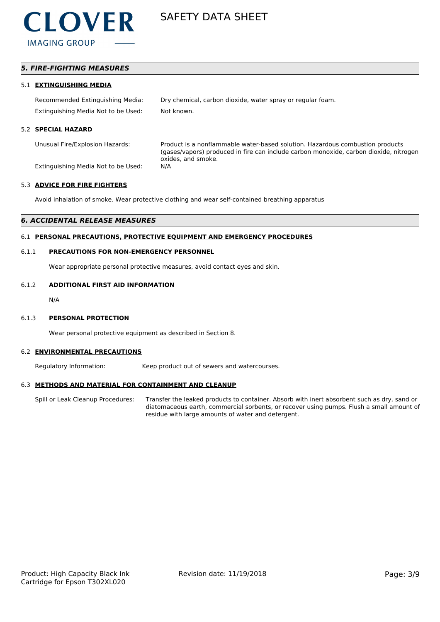

## *5. FIRE-FIGHTING MEASURES*

#### 5.1 **EXTINGUISHING MEDIA**

Recommended Extinguishing Media: Dry chemical, carbon dioxide, water spray or regular foam. Extinguishing Media Not to be Used: Not known.

#### 5.2 **SPECIAL HAZARD**

Unusual Fire/Explosion Hazards: Product is a nonflammable water-based solution. Hazardous combustion products (gases/vapors) produced in fire can include carbon monoxide, carbon dioxide, nitrogen oxides, and smoke.

Extinguishing Media Not to be Used: N/A

#### 5.3 **ADVICE FOR FIRE FIGHTERS**

Avoid inhalation of smoke. Wear protective clothing and wear self-contained breathing apparatus

#### *6. ACCIDENTAL RELEASE MEASURES*

### 6.1 **PERSONAL PRECAUTIONS, PROTECTIVE EQUIPMENT AND EMERGENCY PROCEDURES**

#### 6.1.1 **PRECAUTIONS FOR NON-EMERGENCY PERSONNEL**

Wear appropriate personal protective measures, avoid contact eyes and skin.

## 6.1.2 **ADDITIONAL FIRST AID INFORMATION**

N/A

#### 6.1.3 **PERSONAL PROTECTION**

Wear personal protective equipment as described in Section 8.

#### 6.2 **ENVIRONMENTAL PRECAUTIONS**

Regulatory Information: Keep product out of sewers and watercourses.

#### 6.3 **METHODS AND MATERIAL FOR CONTAINMENT AND CLEANUP**

Spill or Leak Cleanup Procedures: Transfer the leaked products to container. Absorb with inert absorbent such as dry, sand or diatomaceous earth, commercial sorbents, or recover using pumps. Flush a small amount of residue with large amounts of water and detergent.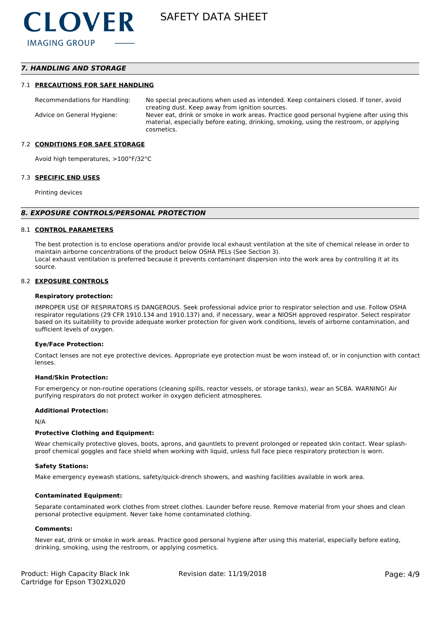## *7. HANDLING AND STORAGE*

#### 7.1 **PRECAUTIONS FOR SAFE HANDLING**

Recommendations for Handling: No special precautions when used as intended. Keep containers closed. If toner, avoid creating dust. Keep away from ignition sources. Advice on General Hygiene: Never eat, drink or smoke in work areas. Practice good personal hygiene after using this material, especially before eating, drinking, smoking, using the restroom, or applying cosmetics.

#### 7.2 **CONDITIONS FOR SAFE STORAGE**

Avoid high temperatures, >100°F/32°C

#### 7.3 **SPECIFIC END USES**

Printing devices

#### *8. EXPOSURE CONTROLS/PERSONAL PROTECTION*

#### 8.1 **CONTROL PARAMETERS**

The best protection is to enclose operations and/or provide local exhaust ventilation at the site of chemical release in order to maintain airborne concentrations of the product below OSHA PELs (See Section 3). Local exhaust ventilation is preferred because it prevents contaminant dispersion into the work area by controlling it at its source.

#### 8.2 **EXPOSURE CONTROLS**

#### **Respiratory protection:**

IMPROPER USE OF RESPIRATORS IS DANGEROUS. Seek professional advice prior to respirator selection and use. Follow OSHA respirator regulations (29 CFR 1910.134 and 1910.137) and, if necessary, wear a NIOSH approved respirator. Select respirator based on its suitability to provide adequate worker protection for given work conditions, levels of airborne contamination, and sufficient levels of oxygen.

#### **Eye/Face Protection:**

Contact lenses are not eye protective devices. Appropriate eye protection must be worn instead of, or in conjunction with contact lenses.

#### **Hand/Skin Protection:**

For emergency or non-routine operations (cleaning spills, reactor vessels, or storage tanks), wear an SCBA. WARNING! Air purifying respirators do not protect worker in oxygen deficient atmospheres.

#### **Additional Protection:**

N/A

#### **Protective Clothing and Equipment:**

Wear chemically protective gloves, boots, aprons, and gauntlets to prevent prolonged or repeated skin contact. Wear splashproof chemical goggles and face shield when working with liquid, unless full face piece respiratory protection is worn.

#### **Safety Stations:**

Make emergency eyewash stations, safety/quick-drench showers, and washing facilities available in work area.

#### **Contaminated Equipment:**

Separate contaminated work clothes from street clothes. Launder before reuse. Remove material from your shoes and clean personal protective equipment. Never take home contaminated clothing.

#### **Comments:**

Never eat, drink or smoke in work areas. Practice good personal hygiene after using this material, especially before eating, drinking, smoking, using the restroom, or applying cosmetics.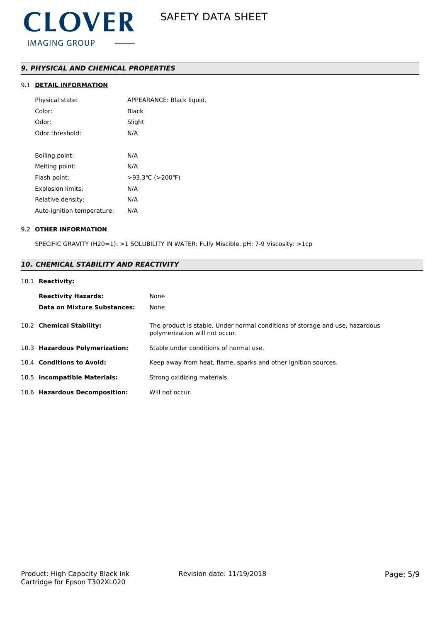## *9. PHYSICAL AND CHEMICAL PROPERTIES*

## 9.1 **DETAIL INFORMATION**

| Physical state:            | APPEARANCE: Black liquid. |
|----------------------------|---------------------------|
| Color:                     | <b>Black</b>              |
| Odor:                      | Slight                    |
| Odor threshold:            | N/A                       |
|                            |                           |
| Boiling point:             | N/A                       |
| Melting point:             | N/A                       |
| Flash point:               | >93.3 °C (>200 °F)        |
| <b>Explosion limits:</b>   | N/A                       |
| Relative density:          | N/A                       |
| Auto-ignition temperature: | N/A                       |

### 9.2 **OTHER INFORMATION**

SPECIFIC GRAVITY (H20=1): >1 SOLUBILITY IN WATER: Fully Miscible. pH: 7-9 Viscosity: >1cp

## *10. CHEMICAL STABILITY AND REACTIVITY*

## 10.1 **Reactivity:**

| <b>Reactivity Hazards:</b><br>Data on Mixture Substances: | None<br>None                                                                                                   |
|-----------------------------------------------------------|----------------------------------------------------------------------------------------------------------------|
| 10.2 Chemical Stability:                                  | The product is stable. Under normal conditions of storage and use, hazardous<br>polymerization will not occur. |
| 10.3 Hazardous Polymerization:                            | Stable under conditions of normal use.                                                                         |
| 10.4 Conditions to Avoid:                                 | Keep away from heat, flame, sparks and other ignition sources.                                                 |
| 10.5 Incompatible Materials:                              | Strong oxidizing materials                                                                                     |
| 10.6 Hazardous Decomposition:                             | Will not occur.                                                                                                |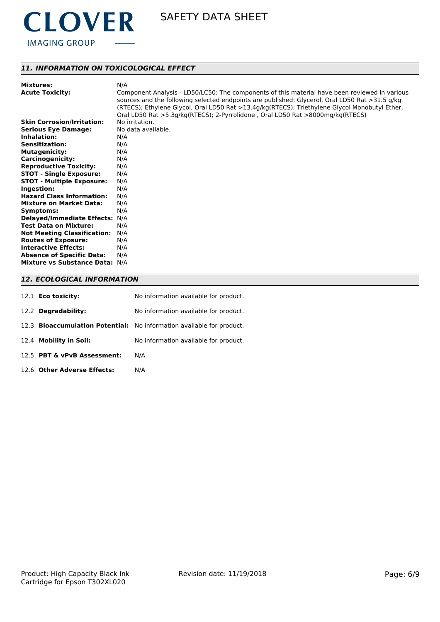

## *11. INFORMATION ON TOXICOLOGICAL EFFECT*

| <b>Mixtures:</b>                   | N/A                                                                                                                                                                                             |
|------------------------------------|-------------------------------------------------------------------------------------------------------------------------------------------------------------------------------------------------|
| <b>Acute Toxicity:</b>             | Component Analysis - LD50/LC50: The components of this material have been reviewed in various<br>sources and the following selected endpoints are published: Glycerol, Oral LD50 Rat >31.5 g/kg |
|                                    | (RTECS); Ethylene Glycol, Oral LD50 Rat >13.4g/kg(RTECS); Triethylene Glycol Monobutyl Ether,                                                                                                   |
|                                    | Oral LD50 Rat >5.3g/kg(RTECS); 2-Pyrrolidone, Oral LD50 Rat >8000mg/kg(RTECS)                                                                                                                   |
| <b>Skin Corrosion/Irritation:</b>  | No irritation.                                                                                                                                                                                  |
| <b>Serious Eye Damage:</b>         | No data available.                                                                                                                                                                              |
| Inhalation:                        | N/A                                                                                                                                                                                             |
| <b>Sensitization:</b>              | N/A                                                                                                                                                                                             |
| <b>Mutagenicity:</b>               | N/A                                                                                                                                                                                             |
| <b>Carcinogenicity:</b>            | N/A                                                                                                                                                                                             |
| <b>Reproductive Toxicity:</b>      | N/A                                                                                                                                                                                             |
| <b>STOT - Single Exposure:</b>     | N/A                                                                                                                                                                                             |
| <b>STOT - Multiple Exposure:</b>   | N/A                                                                                                                                                                                             |
| Ingestion:                         | N/A                                                                                                                                                                                             |
| <b>Hazard Class Information:</b>   | N/A                                                                                                                                                                                             |
| <b>Mixture on Market Data:</b>     | N/A                                                                                                                                                                                             |
| Symptoms:                          | N/A                                                                                                                                                                                             |
| <b>Delayed/Immediate Effects:</b>  | N/A                                                                                                                                                                                             |
| <b>Test Data on Mixture:</b>       | N/A                                                                                                                                                                                             |
| <b>Not Meeting Classification:</b> | N/A                                                                                                                                                                                             |
| <b>Routes of Exposure:</b>         | N/A                                                                                                                                                                                             |
| <b>Interactive Effects:</b>        | N/A                                                                                                                                                                                             |
| <b>Absence of Specific Data:</b>   | N/A                                                                                                                                                                                             |
| Mixture vs Substance Data: N/A     |                                                                                                                                                                                                 |

## *12. ECOLOGICAL INFORMATION*

| 12.1 <b>Eco toxicity:</b>   | No information available for product.                                        |
|-----------------------------|------------------------------------------------------------------------------|
| 12.2 Degradability:         | No information available for product.                                        |
|                             | 12.3 <b>Bioaccumulation Potential:</b> No information available for product. |
| 12.4 Mobility in Soil:      | No information available for product.                                        |
| 12.5 PBT & vPvB Assessment: | N/A                                                                          |
| 12.6 Other Adverse Effects: | N/A                                                                          |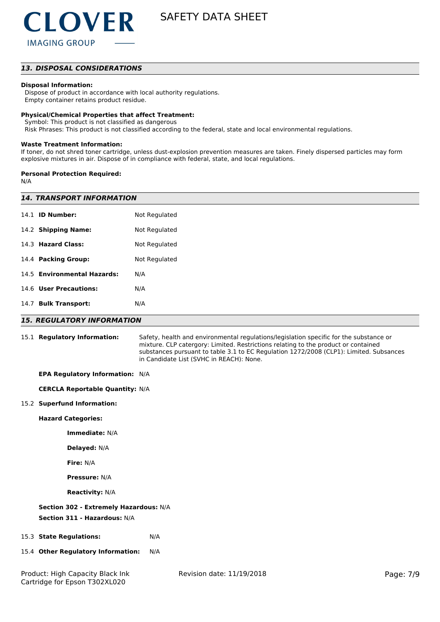

### *13. DISPOSAL CONSIDERATIONS*

#### **Disposal Information:**

 Dispose of product in accordance with local authority regulations. Empty container retains product residue.

#### **Physical/Chemical Properties that affect Treatment:**

Symbol: This product is not classified as dangerous

Risk Phrases: This product is not classified according to the federal, state and local environmental regulations.

#### **Waste Treatment Information:**

If toner, do not shred toner cartridge, unless dust-explosion prevention measures are taken. Finely dispersed particles may form explosive mixtures in air. Dispose of in compliance with federal, state, and local regulations.

#### **Personal Protection Required:**

N/A

| <b>14. TRANSPORT INFORMATION</b>  |                                                                                                                                                                                                                                                                                                                    |  |  |
|-----------------------------------|--------------------------------------------------------------------------------------------------------------------------------------------------------------------------------------------------------------------------------------------------------------------------------------------------------------------|--|--|
| 14.1 <b>ID Number:</b>            | Not Regulated                                                                                                                                                                                                                                                                                                      |  |  |
| 14.2 Shipping Name:               | Not Regulated                                                                                                                                                                                                                                                                                                      |  |  |
| 14.3 Hazard Class:                | Not Regulated                                                                                                                                                                                                                                                                                                      |  |  |
| 14.4 Packing Group:               | Not Regulated                                                                                                                                                                                                                                                                                                      |  |  |
| 14.5 Environmental Hazards:       | N/A                                                                                                                                                                                                                                                                                                                |  |  |
| 14.6 User Precautions:            | N/A                                                                                                                                                                                                                                                                                                                |  |  |
| 14.7 Bulk Transport:              | N/A                                                                                                                                                                                                                                                                                                                |  |  |
| <b>15. REGULATORY INFORMATION</b> |                                                                                                                                                                                                                                                                                                                    |  |  |
| 15.1 Regulatory Information:      | Safety, health and environmental regulations/legislation specific for the substance or<br>mixture. CLP catergory: Limited. Restrictions relating to the product or contained<br>substances pursuant to table 3.1 to EC Regulation 1272/2008 (CLP1): Limited. Subsances<br>in Candidate List (SVHC in REACH): None. |  |  |

**EPA Regulatory Information:** N/A

**CERCLA Reportable Quantity:** N/A

#### 15.2 **Superfund Information:**

#### **Hazard Categories:**

**Immediate:** N/A

**Delayed:** N/A

**Fire:** N/A

**Pressure:** N/A

**Reactivity:** N/A

#### **Section 302 - Extremely Hazardous:** N/A

**Section 311 - Hazardous:** N/A

#### 15.3 **State Regulations:** N/A

15.4 **Other Regulatory Information:** N/A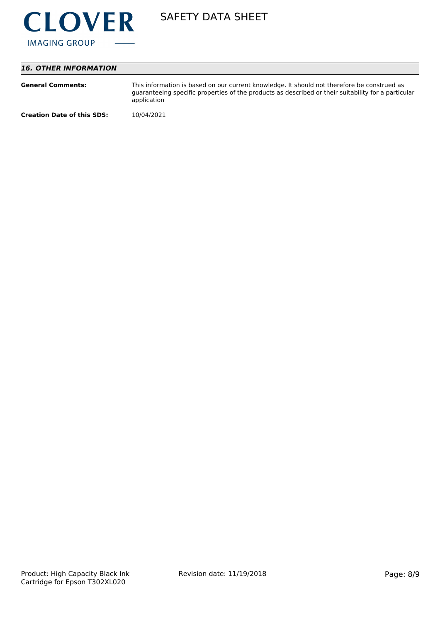

## *16. OTHER INFORMATION*

| <b>General Comments:</b>          | This information is based on our current knowledge. It should not therefore be construed as<br>guaranteeing specific properties of the products as described or their suitability for a particular<br>application |
|-----------------------------------|-------------------------------------------------------------------------------------------------------------------------------------------------------------------------------------------------------------------|
| <b>Creation Date of this SDS:</b> | 10/04/2021                                                                                                                                                                                                        |